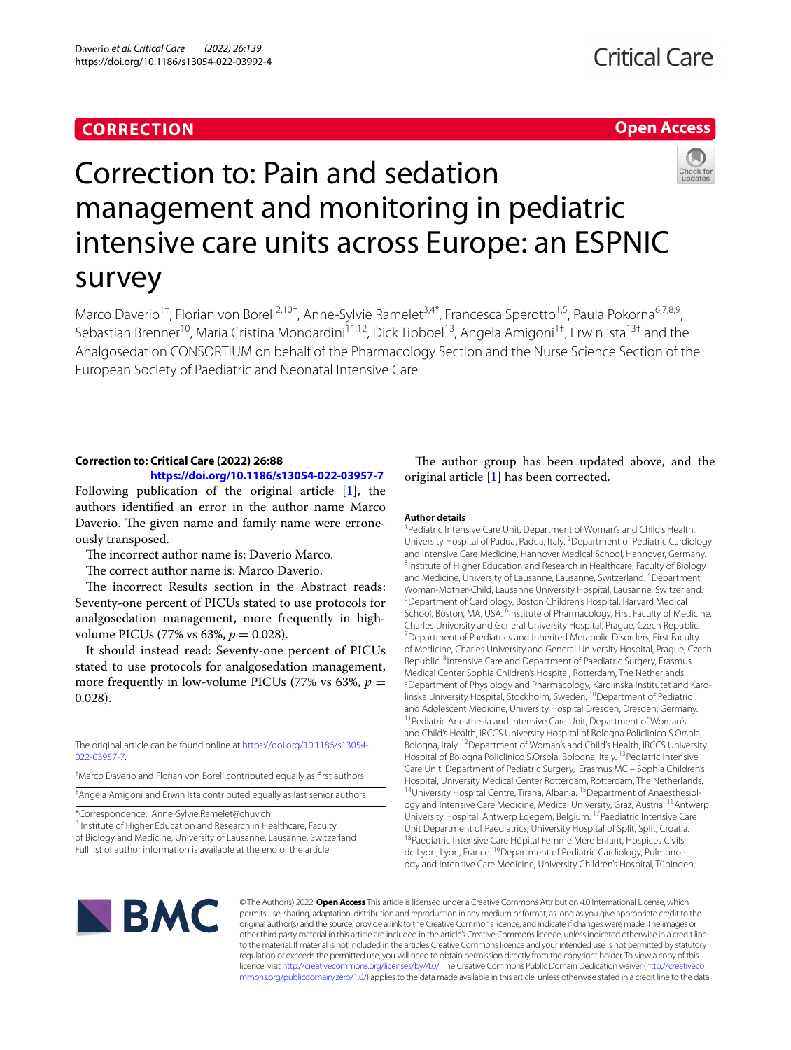# **CORRECTION**

## **Open Access**



# Correction to: Pain and sedation management and monitoring in pediatric intensive care units across Europe: an ESPNIC survey

Marco Daverio<sup>1†</sup>, Florian von Borell<sup>2,10†</sup>, Anne-Sylvie Ramelet<sup>3,4\*</sup>, Francesca Sperotto<sup>1,5</sup>, Paula Pokorna<sup>6,7,8,9</sup>, Sebastian Brenner<sup>10</sup>, Maria Cristina Mondardini<sup>11,12</sup>, Dick Tibboel<sup>13</sup>, Angela Amigoni<sup>1†</sup>, Erwin Ista<sup>13†</sup> and the Analgosedation CONSORTIUM on behalf of the Pharmacology Section and the Nurse Science Section of the European Society of Paediatric and Neonatal Intensive Care

# **Correction to: Critical Care (2022) 26:88**

# **<https://doi.org/10.1186/s13054-022-03957-7>**

Following publication of the original article [\[1\]](#page-1-0), the authors identifed an error in the author name Marco Daverio. The given name and family name were erroneously transposed.

The incorrect author name is: Daverio Marco.

The correct author name is: Marco Daverio.

The incorrect Results section in the Abstract reads: Seventy-one percent of PICUs stated to use protocols for analgosedation management, more frequently in highvolume PICUs (77% vs 63%, *p* = 0.028).

It should instead read: Seventy-one percent of PICUs stated to use protocols for analgosedation management, more frequently in low-volume PICUs (77% vs 63%,  $p =$ 0.028).

The original article can be found online at [https://doi.org/10.1186/s13054-](https://doi.org/10.1186/s13054-022-03957-7) [022-03957-7](https://doi.org/10.1186/s13054-022-03957-7).

† Marco Daverio and Florian von Borell contributed equally as frst authors

† Angela Amigoni and Erwin Ista contributed equally as last senior authors

\*Correspondence: Anne-Sylvie.Ramelet@chuv.ch

<sup>3</sup> Institute of Higher Education and Research in Healthcare, Faculty of Biology and Medicine, University of Lausanne, Lausanne, Switzerland Full list of author information is available at the end of the article

The author group has been updated above, and the original article [[1\]](#page-1-0) has been corrected.

## **Author details**

<sup>1</sup> Pediatric Intensive Care Unit, Department of Woman's and Child's Health, University Hospital of Padua, Padua, Italy. <sup>2</sup> Department of Pediatric Cardiology and Intensive Care Medicine, Hannover Medical School, Hannover, Germany. 3 <sup>3</sup> Institute of Higher Education and Research in Healthcare, Faculty of Biology and Medicine, University of Lausanne, Lausanne, Switzerland. <sup>4</sup>Department Woman‑Mother‑Child, Lausanne University Hospital, Lausanne, Switzerland. 5 Department of Cardiology, Boston Children's Hospital, Harvard Medical School, Boston, MA, USA. <sup>6</sup>Institute of Pharmacology, First Faculty of Medicine, Charles University and General University Hospital, Prague, Czech Republic. 7 <sup>7</sup> Department of Paediatrics and Inherited Metabolic Disorders, First Faculty of Medicine, Charles University and General University Hospital, Prague, Czech Republic. <sup>8</sup>Intensive Care and Department of Paediatric Surgery, Erasmus Medical Center Sophia Children's Hospital, Rotterdam, The Netherlands. <sup>9</sup> Department of Physiology and Pharmacology, Karolinska Institutet and Karolinska University Hospital, Stockholm, Sweden. <sup>10</sup>Department of Pediatric and Adolescent Medicine, University Hospital Dresden, Dresden, Germany.<br><sup>11</sup> Pediatric Anesthesia and Intensive Care Unit, Department of Woman's and Child's Health, IRCCS University Hospital of Bologna Policlinico S.Orsola, Bologna, Italy. 12Department of Woman's and Child's Health, IRCCS University Hospital of Bologna Policlinico S.Orsola, Bologna, Italy. <sup>13</sup> Pediatric Intensive Care Unit, Department of Pediatric Surgery, Erasmus MC – Sophia Children's Hospital, University Medical Center Rotterdam, Rotterdam, The Netherlands. <sup>14</sup>University Hospital Centre, Tirana, Albania. <sup>15</sup> Department of Anaesthesiology and Intensive Care Medicine, Medical University, Graz, Austria. <sup>16</sup>Antwerp University Hospital, Antwerp Edegem, Belgium. <sup>17</sup> Paediatric Intensive Care Unit Department of Paediatrics, University Hospital of Split, Split, Croatia.<br><sup>18</sup>Paediatric Intensive Care Hôpital Femme Mère Enfant, Hospices Civils de Lyon, Lyon, France. <sup>19</sup>Department of Pediatric Cardiology, Pulmonology and Intensive Care Medicine, University Children's Hospital, Tübingen,



© The Author(s) 2022. **Open Access** This article is licensed under a Creative Commons Attribution 4.0 International License, which permits use, sharing, adaptation, distribution and reproduction in any medium or format, as long as you give appropriate credit to the original author(s) and the source, provide a link to the Creative Commons licence, and indicate if changes were made. The images or other third party material in this article are included in the article's Creative Commons licence, unless indicated otherwise in a credit line to the material. If material is not included in the article's Creative Commons licence and your intended use is not permitted by statutory regulation or exceeds the permitted use, you will need to obtain permission directly from the copyright holder. To view a copy of this licence, visit [http://creativecommons.org/licenses/by/4.0/.](http://creativecommons.org/licenses/by/4.0/) The Creative Commons Public Domain Dedication waiver ([http://creativeco](http://creativecommons.org/publicdomain/zero/1.0/) [mmons.org/publicdomain/zero/1.0/](http://creativecommons.org/publicdomain/zero/1.0/)) applies to the data made available in this article, unless otherwise stated in a credit line to the data.